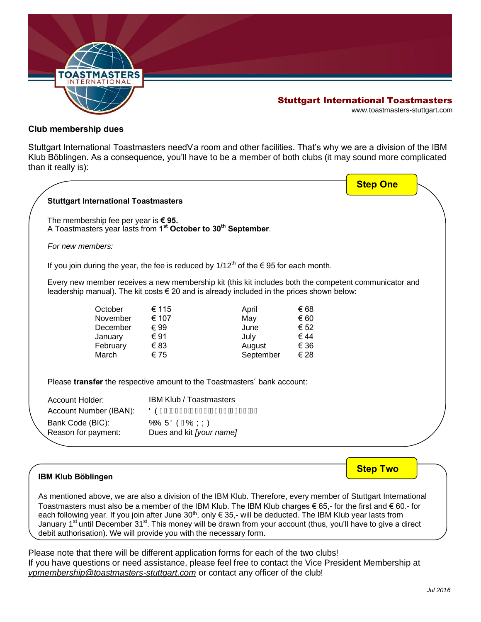

## Stuttgart International Toastmasters

www.toastmasters-stuttgart.com

#### **Club membership dues**

Stuttgart International Toastmasters need• a room and other facilities. That's why we are a division of the IBM Klub Böblingen. As a consequence, you'll have to be a member of both clubs (it may sound more complicated than it really is):

|                                               |          |                                           |                                                                                                                                                                                                             |              | <b>Step One</b> |  |
|-----------------------------------------------|----------|-------------------------------------------|-------------------------------------------------------------------------------------------------------------------------------------------------------------------------------------------------------------|--------------|-----------------|--|
| <b>Stuttgart International Toastmasters</b>   |          |                                           |                                                                                                                                                                                                             |              |                 |  |
| The membership fee per year is $\epsilon$ 95. |          |                                           | A Toastmasters year lasts from 1 <sup>st</sup> October to 30 <sup>th</sup> September.                                                                                                                       |              |                 |  |
| For new members:                              |          |                                           |                                                                                                                                                                                                             |              |                 |  |
|                                               |          |                                           | If you join during the year, the fee is reduced by $1/12^{th}$ of the $\epsilon$ 95 for each month.                                                                                                         |              |                 |  |
|                                               |          |                                           | Every new member receives a new membership kit (this kit includes both the competent communicator and<br>leadership manual). The kit costs $\epsilon$ 20 and is already included in the prices shown below: |              |                 |  |
|                                               | October  | € 115                                     | April                                                                                                                                                                                                       | € 68         |                 |  |
|                                               | November | € 107                                     | May                                                                                                                                                                                                         | € 60         |                 |  |
|                                               | December | € 99                                      | June                                                                                                                                                                                                        | € 52         |                 |  |
|                                               | January  | € 91                                      | July                                                                                                                                                                                                        | € 44         |                 |  |
| March                                         | February | €83<br>€ 75                               | August<br>September                                                                                                                                                                                         | € 36<br>€ 28 |                 |  |
|                                               |          |                                           | Please transfer the respective amount to the Toastmasters' bank account:                                                                                                                                    |              |                 |  |
| Account Holder:                               |          | <b>IBM Klub / Toastmasters</b>            |                                                                                                                                                                                                             |              |                 |  |
|                                               |          | ÖÒÎ FÂ⊩ƏHÍ ÁEFH€ÁE∈∈EÁJÌ Í Í Á F          |                                                                                                                                                                                                             |              |                 |  |
|                                               |          |                                           |                                                                                                                                                                                                             |              |                 |  |
| Account Number (IBAN):                        |          |                                           |                                                                                                                                                                                                             |              |                 |  |
| Bank Code (BIC):<br>Reason for payment:       |          | ÓÓSÜÖÖÎ ÓÝÝÝ)<br>Dues and kit [your name] |                                                                                                                                                                                                             |              |                 |  |

### **IBM Klub Böblingen**

As mentioned above, we are also a division of the IBM Klub. Therefore, every member of Stuttgart International Toastmasters must also be a member of the IBM Klub. The IBM Klub charges  $\epsilon$  65,- for the first and  $\epsilon$  60.- for each following year. If you join after June 30<sup>th</sup>, only € 35,- will be deducted. The IBM Klub year lasts from January 1<sup>st</sup> until December 31<sup>st</sup>. This money will be drawn from your account (thus, you'll have to give a direct debit authorisation). We will provide you with the necessary form.

Please note that there will be different application forms for each of the two clubs! If you have questions or need assistance, please feel free to contact the Vice President Membership at *vpmembership@toastmasters-stuttgart.com* or contact any officer of the club!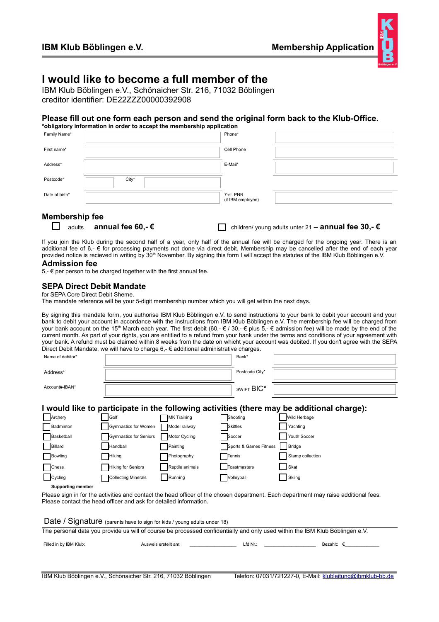

## **I would like to become a full member of the**

IBM Klub Böblingen e.V., Schönaicher Str. 216, 71032 Böblingen creditor identifier: DE22ZZZ00000392908

#### **Please fill out one form each person and send the original form back to the Klub-Office.**

| *obligatory information in order to accept the membership application |       |                                |  |  |  |
|-----------------------------------------------------------------------|-------|--------------------------------|--|--|--|
| Family Name*                                                          |       | Phone*                         |  |  |  |
| First name*                                                           |       | Cell Phone                     |  |  |  |
| Address*                                                              |       | E-Mail*                        |  |  |  |
| Postcode*                                                             | City* |                                |  |  |  |
| Date of birth*                                                        |       | 7-st. PNR<br>(if IBM employee) |  |  |  |

#### **Membership fee**

|  | $\Box$ adults |  | annual fee 60,- |
|--|---------------|--|-----------------|
|--|---------------|--|-----------------|

adults **annual fee 60,- €** children/ young adults unter 21 – **annual fee 30,- €**

If you join the Klub during the second half of a year, only half of the annual fee will be charged for the ongoing year. There is an additional fee of 6,- € for processing payments not done via direct debit. Membership may be cancelled after the end of each year provided notice is recieved in writing by 30<sup>th</sup> November. By signing this form I will accept the statutes of the IBM Klub Böblingen e.V.

#### **Admission fee**

5,-  $∈$  per person to be charged together with the first annual fee.

#### **SEPA Direct Debit Mandate**

for SEPA Core Direct Debit Sheme.

The mandate reference will be your 5-digit membership number which you will get within the next days.

By signing this mandate form, you authorise IBM Klub Böblingen e.V. to send instructions to your bank to debit your account and your bank to debit your account in accordance with the instructions from IBM Klub Böblingen e.V. The membership fee will be charged from your bank account on the 15<sup>th</sup> March each year. The first debit (60,-  $\epsilon$  / 30,-  $\epsilon$  plus  $5,$ -  $\epsilon$  admission fee) will be made by the end of the current month. As part of your rights, you are entitled to a refund from your bank under the terms and conditions of your agreement with your bank. A refund must be claimed within 8 weeks from the date on whicht your account was debited. If you don't agree with the SEPA Direct Debit Mandate, we will have to charge 6,- € additional administrative charges.

| Name of debitor* | Bank*          |  |
|------------------|----------------|--|
| Address*         | Postcode City* |  |
| Account#-IBAN*   | SWIFT BIC*     |  |

#### **I would like to participate in the following activities (there may be additional charge):**

| Archery      | Golf                   | <b>MK Training</b> | Shooting               | Wild Herbage     |
|--------------|------------------------|--------------------|------------------------|------------------|
| Badminton    | Gymnastics for Women   | Model railway      | <b>Skittles</b>        | Yachting         |
| Basketball   | Gymnastics for Seniors | Motor Cycling      | Soccer                 | Youth Soccer     |
| Billard      | Handball               | Painting           | Sports & Games Fitness | Bridge           |
| Bowling      | <b>Hiking</b>          | Photography        | Tennis                 | Stamp collection |
| <b>Chess</b> | Hiking for Seniors     | Reptile animals    | Toastmasters           | Skat             |
| Cycling      | Collecting Minerals    | Running            | Volleyball             | Skiing           |

**Supporting member** 

Please sign in for the activities and contact the head officer of the chosen department. Each department may raise additional fees. Please contact the head officer and ask for detailed information.

Date / Signature (parents have to sign for kids / young adults under 18)

The personal data you provide us will of course be processed confidentially and only used within the IBM Klub Böblingen e.V.

Filled in by IBM Klub: <br>
Ausweis erstellt am: example and the Lfd Nr.: Example and Bezahlt: €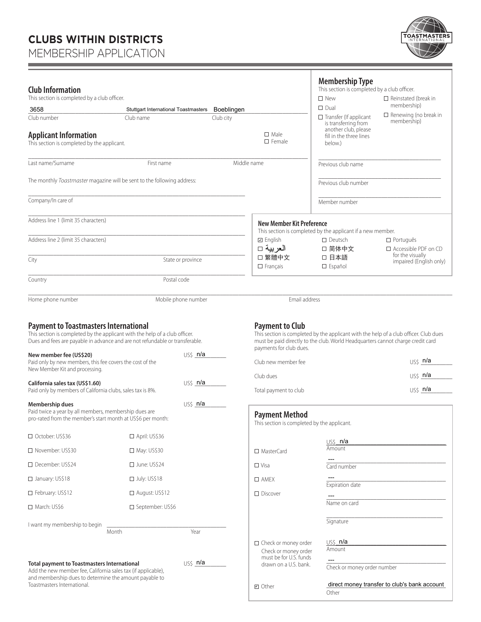# **CLUBS WITHIN DISTRICTS**

MEMBERSHIP APPLICATION



| <b>Club Information</b><br>This section is completed by a club officer.                                                                                                                                                                                                                                                               |                                             |                     |             |                                                                                                                          | <b>Membership Type</b><br>This section is completed by a club officer.<br>$\square$ New                                                                                  | $\Box$ Reinstated (break in                        |
|---------------------------------------------------------------------------------------------------------------------------------------------------------------------------------------------------------------------------------------------------------------------------------------------------------------------------------------|---------------------------------------------|---------------------|-------------|--------------------------------------------------------------------------------------------------------------------------|--------------------------------------------------------------------------------------------------------------------------------------------------------------------------|----------------------------------------------------|
| 3658                                                                                                                                                                                                                                                                                                                                  | <b>Stuttgart International Toastmasters</b> |                     | Boeblingen  |                                                                                                                          | $\square$ Dual                                                                                                                                                           | membership)                                        |
| Club number                                                                                                                                                                                                                                                                                                                           | Club name                                   |                     | Club city   |                                                                                                                          | $\Box$ Transfer (If applicant<br>is transferring from                                                                                                                    | $\Box$ Renewing (no break in<br>membership)        |
| <b>Applicant Information</b><br>This section is completed by the applicant.                                                                                                                                                                                                                                                           |                                             |                     |             | $\square$ Male<br>$\square$ Female                                                                                       | another club, please<br>fill in the three lines<br>below.)                                                                                                               |                                                    |
| Last name/Surname                                                                                                                                                                                                                                                                                                                     | First name                                  |                     | Middle name |                                                                                                                          | Previous club name                                                                                                                                                       |                                                    |
| The monthly Toastmaster magazine will be sent to the following address:                                                                                                                                                                                                                                                               |                                             |                     |             |                                                                                                                          | Previous club number                                                                                                                                                     |                                                    |
| Company/In care of                                                                                                                                                                                                                                                                                                                    |                                             |                     |             |                                                                                                                          | Member number                                                                                                                                                            |                                                    |
| Address line 1 (limit 35 characters)                                                                                                                                                                                                                                                                                                  |                                             |                     |             | <b>New Member Kit Preference</b>                                                                                         | This section is completed by the applicant if a new member.                                                                                                              |                                                    |
| Address line 2 (limit 35 characters)                                                                                                                                                                                                                                                                                                  |                                             |                     |             | <b>□</b> English                                                                                                         | $\square$ Deutsch                                                                                                                                                        | $\Box$ Português                                   |
|                                                                                                                                                                                                                                                                                                                                       |                                             |                     |             | العربية □<br>□ 繁體中文                                                                                                      | □ 简体中文<br>□ 日本語                                                                                                                                                          | $\square$ Accessible PDF on CD<br>for the visually |
| City                                                                                                                                                                                                                                                                                                                                  |                                             | State or province   |             | $\Box$ Français                                                                                                          | $\Box$ Español                                                                                                                                                           | impaired (English only)                            |
| Country                                                                                                                                                                                                                                                                                                                               |                                             | Postal code         |             |                                                                                                                          |                                                                                                                                                                          |                                                    |
| Home phone number                                                                                                                                                                                                                                                                                                                     |                                             | Mobile phone number |             | Email address                                                                                                            |                                                                                                                                                                          |                                                    |
| <b>Payment to Toastmasters International</b><br>This section is completed by the applicant with the help of a club officer.<br>Dues and fees are payable in advance and are not refundable or transferable.<br>New member fee (US\$20)<br>Paid only by new members, this fee covers the cost of the<br>New Member Kit and processing. |                                             | US\$ n/a            |             | <b>Payment to Club</b><br>payments for club dues.<br>Club new member fee                                                 | This section is completed by the applicant with the help of a club officer. Club dues<br>must be paid directly to the club. World Headquarters cannot charge credit card | US\$ n/a                                           |
| California sales tax (US\$1.60)                                                                                                                                                                                                                                                                                                       |                                             | US\$ n/a            |             | Club dues                                                                                                                |                                                                                                                                                                          | US\$ n/a                                           |
| Paid only by members of California clubs, sales tax is 8%.                                                                                                                                                                                                                                                                            |                                             |                     |             | Total payment to club                                                                                                    |                                                                                                                                                                          | US\$ n/a                                           |
| Membership dues<br>Paid twice a year by all members, membership dues are<br>pro-rated from the member's start month at US\$6 per month:                                                                                                                                                                                               |                                             | US\$ n/a            |             | <b>Payment Method</b><br>This section is completed by the applicant.                                                     |                                                                                                                                                                          |                                                    |
| □ October: US\$36                                                                                                                                                                                                                                                                                                                     | $\Box$ April: US\$36                        |                     |             |                                                                                                                          | US\$ n/a                                                                                                                                                                 |                                                    |
| □ November: US\$30                                                                                                                                                                                                                                                                                                                    | $\Box$ May: US\$30                          |                     |             | □ MasterCard                                                                                                             | Amount                                                                                                                                                                   |                                                    |
| □ December: US\$24                                                                                                                                                                                                                                                                                                                    | □ June: US\$24                              |                     |             | $\Box$ Visa                                                                                                              | Card number                                                                                                                                                              |                                                    |
| □ January: US\$18                                                                                                                                                                                                                                                                                                                     | $\Box$ July: US\$18                         |                     |             | $\square$ AMEX                                                                                                           | <b>Expiration date</b>                                                                                                                                                   |                                                    |
| □ February: US\$12                                                                                                                                                                                                                                                                                                                    | □ August: US\$12                            |                     |             | $\Box$ Discover                                                                                                          |                                                                                                                                                                          |                                                    |
| □ March: US\$6                                                                                                                                                                                                                                                                                                                        | □ September: US\$6                          |                     |             |                                                                                                                          | Name on card                                                                                                                                                             |                                                    |
| I want my membership to begin                                                                                                                                                                                                                                                                                                         | Month                                       | Year                |             |                                                                                                                          | Signature                                                                                                                                                                |                                                    |
| <b>Total payment to Toastmasters International</b><br>Add the new member fee, California sales tax (if applicable),<br>and membership dues to determine the amount payable to<br>Toastmasters International.                                                                                                                          |                                             | US\$ <b>n/a</b>     |             | $\Box$ Check or money order<br>Check or money order<br>must be for U.S. funds<br>drawn on a U.S. bank.<br><b>□</b> Other | US\$ <b>n/a</b><br>Amount<br>Check or money order number                                                                                                                 | direct money transfer to club's bank account       |

Other